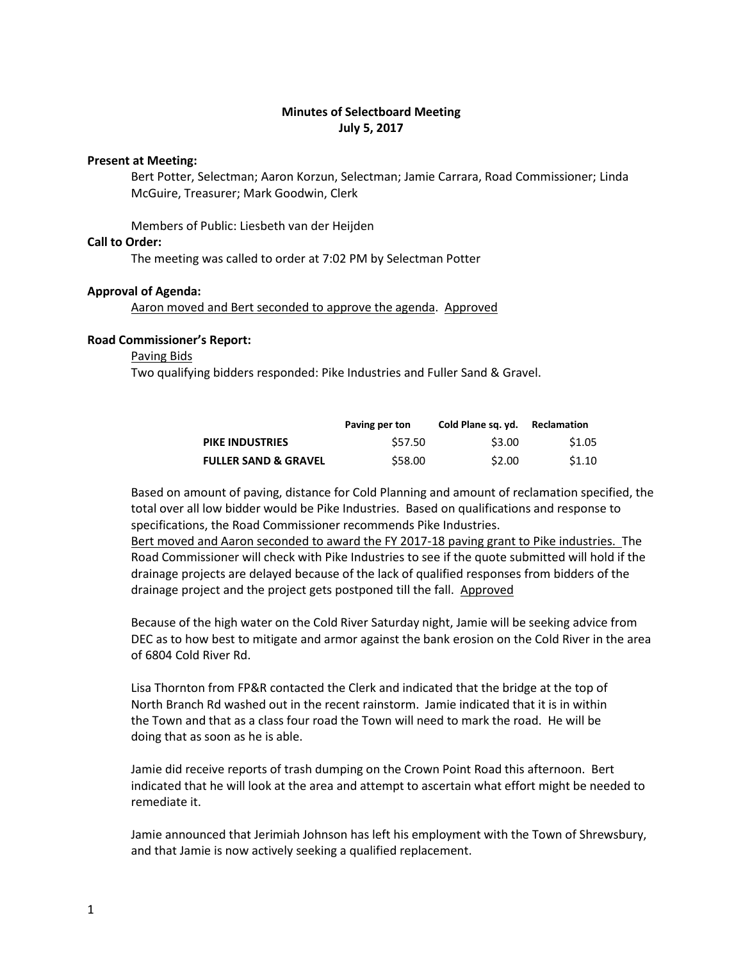# **Minutes of Selectboard Meeting July 5, 2017**

# **Present at Meeting:**

Bert Potter, Selectman; Aaron Korzun, Selectman; Jamie Carrara, Road Commissioner; Linda McGuire, Treasurer; Mark Goodwin, Clerk

Members of Public: Liesbeth van der Heijden

### **Call to Order:**

The meeting was called to order at 7:02 PM by Selectman Potter

### **Approval of Agenda:**

Aaron moved and Bert seconded to approve the agenda. Approved

# **Road Commissioner's Report:**

## Paving Bids

Two qualifying bidders responded: Pike Industries and Fuller Sand & Gravel.

|                                 | Paving per ton | Cold Plane sq. yd. | Reclamation |
|---------------------------------|----------------|--------------------|-------------|
| <b>PIKE INDUSTRIES</b>          | \$57.50        | \$3.00             | \$1.05      |
| <b>FULLER SAND &amp; GRAVEL</b> | \$58.00        | \$2.00             | \$1.10      |

Based on amount of paving, distance for Cold Planning and amount of reclamation specified, the total over all low bidder would be Pike Industries. Based on qualifications and response to specifications, the Road Commissioner recommends Pike Industries.

Bert moved and Aaron seconded to award the FY 2017-18 paving grant to Pike industries. The Road Commissioner will check with Pike Industries to see if the quote submitted will hold if the drainage projects are delayed because of the lack of qualified responses from bidders of the drainage project and the project gets postponed till the fall. Approved

Because of the high water on the Cold River Saturday night, Jamie will be seeking advice from DEC as to how best to mitigate and armor against the bank erosion on the Cold River in the area of 6804 Cold River Rd.

Lisa Thornton from FP&R contacted the Clerk and indicated that the bridge at the top of North Branch Rd washed out in the recent rainstorm. Jamie indicated that it is in within the Town and that as a class four road the Town will need to mark the road. He will be doing that as soon as he is able.

Jamie did receive reports of trash dumping on the Crown Point Road this afternoon. Bert indicated that he will look at the area and attempt to ascertain what effort might be needed to remediate it.

Jamie announced that Jerimiah Johnson has left his employment with the Town of Shrewsbury, and that Jamie is now actively seeking a qualified replacement.